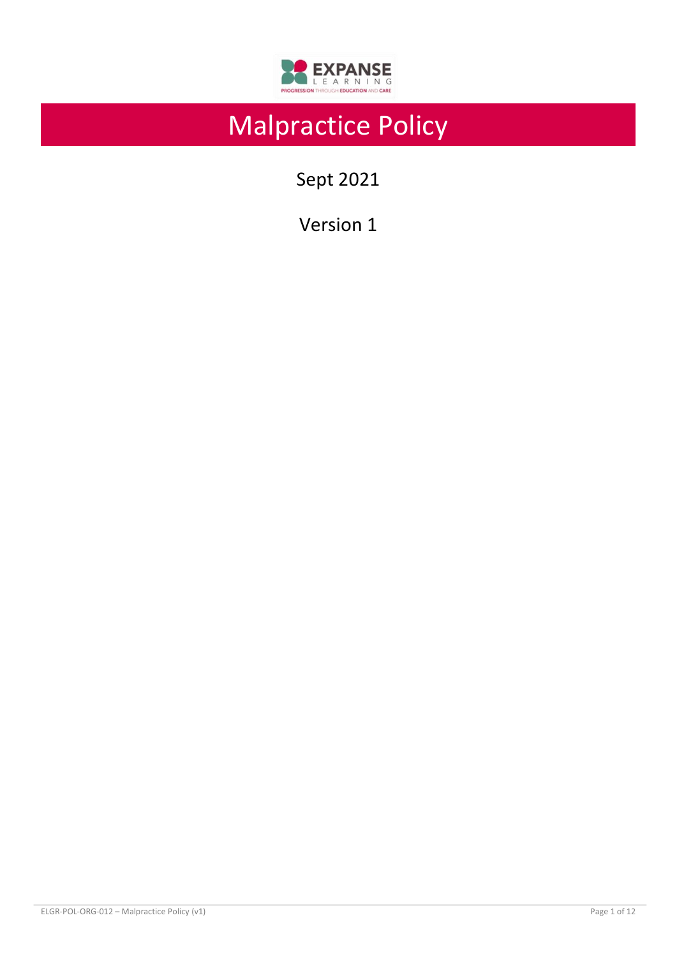

# Malpractice Policy

Sept 2021

Version 1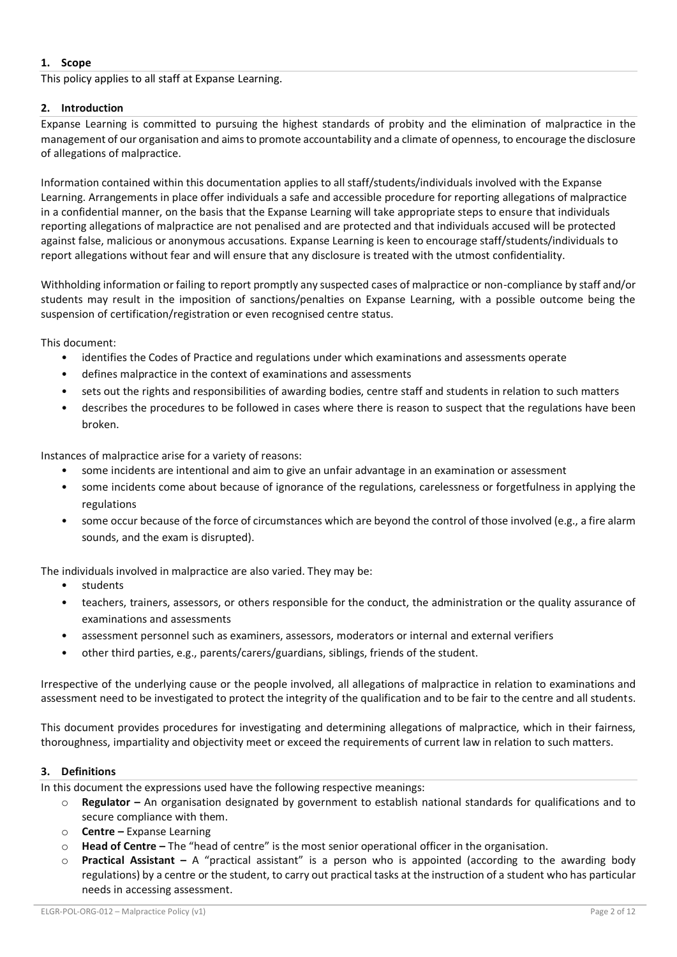# **1. Scope**

This policy applies to all staff at Expanse Learning.

## **2. Introduction**

Expanse Learning is committed to pursuing the highest standards of probity and the elimination of malpractice in the management of our organisation and aims to promote accountability and a climate of openness, to encourage the disclosure of allegations of malpractice.

Information contained within this documentation applies to all staff/students/individuals involved with the Expanse Learning. Arrangements in place offer individuals a safe and accessible procedure for reporting allegations of malpractice in a confidential manner, on the basis that the Expanse Learning will take appropriate steps to ensure that individuals reporting allegations of malpractice are not penalised and are protected and that individuals accused will be protected against false, malicious or anonymous accusations. Expanse Learning is keen to encourage staff/students/individuals to report allegations without fear and will ensure that any disclosure is treated with the utmost confidentiality.

Withholding information or failing to report promptly any suspected cases of malpractice or non-compliance by staff and/or students may result in the imposition of sanctions/penalties on Expanse Learning, with a possible outcome being the suspension of certification/registration or even recognised centre status.

This document:

- identifies the Codes of Practice and regulations under which examinations and assessments operate
- defines malpractice in the context of examinations and assessments
- sets out the rights and responsibilities of awarding bodies, centre staff and students in relation to such matters
- describes the procedures to be followed in cases where there is reason to suspect that the regulations have been broken.

Instances of malpractice arise for a variety of reasons:

- some incidents are intentional and aim to give an unfair advantage in an examination or assessment
- some incidents come about because of ignorance of the regulations, carelessness or forgetfulness in applying the regulations
- some occur because of the force of circumstances which are beyond the control of those involved (e.g., a fire alarm sounds, and the exam is disrupted).

The individuals involved in malpractice are also varied. They may be:

- students
- teachers, trainers, assessors, or others responsible for the conduct, the administration or the quality assurance of examinations and assessments
- assessment personnel such as examiners, assessors, moderators or internal and external verifiers
- other third parties, e.g., parents/carers/guardians, siblings, friends of the student.

Irrespective of the underlying cause or the people involved, all allegations of malpractice in relation to examinations and assessment need to be investigated to protect the integrity of the qualification and to be fair to the centre and all students.

This document provides procedures for investigating and determining allegations of malpractice, which in their fairness, thoroughness, impartiality and objectivity meet or exceed the requirements of current law in relation to such matters.

#### **3. Definitions**

In this document the expressions used have the following respective meanings:

- o **Regulator –** An organisation designated by government to establish national standards for qualifications and to secure compliance with them.
- o **Centre –** Expanse Learning
- o **Head of Centre –** The "head of centre" is the most senior operational officer in the organisation.
- **Practical Assistant** A "practical assistant" is a person who is appointed (according to the awarding body regulations) by a centre or the student, to carry out practical tasks at the instruction of a student who has particular needs in accessing assessment.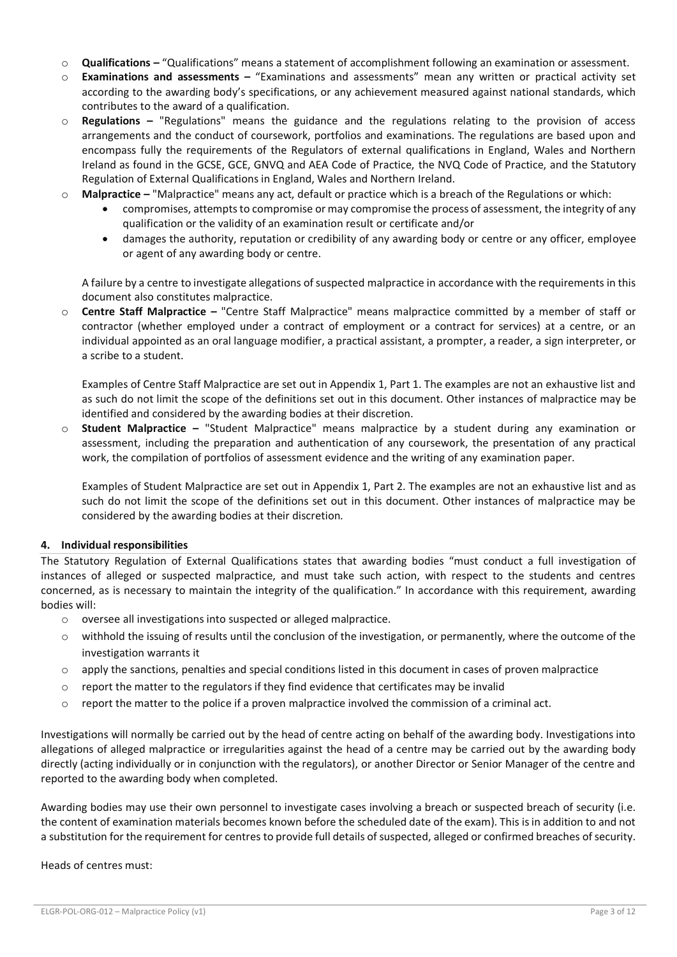- o **Qualifications –** "Qualifications" means a statement of accomplishment following an examination or assessment.
- o **Examinations and assessments –** "Examinations and assessments" mean any written or practical activity set according to the awarding body's specifications, or any achievement measured against national standards, which contributes to the award of a qualification.
- o **Regulations –** "Regulations" means the guidance and the regulations relating to the provision of access arrangements and the conduct of coursework, portfolios and examinations. The regulations are based upon and encompass fully the requirements of the Regulators of external qualifications in England, Wales and Northern Ireland as found in the GCSE, GCE, GNVQ and AEA Code of Practice, the NVQ Code of Practice, and the Statutory Regulation of External Qualifications in England, Wales and Northern Ireland.
- o **Malpractice –** "Malpractice" means any act, default or practice which is a breach of the Regulations or which:
	- compromises, attempts to compromise or may compromise the process of assessment, the integrity of any qualification or the validity of an examination result or certificate and/or
	- damages the authority, reputation or credibility of any awarding body or centre or any officer, employee or agent of any awarding body or centre.

A failure by a centre to investigate allegations of suspected malpractice in accordance with the requirements in this document also constitutes malpractice.

o **Centre Staff Malpractice –** "Centre Staff Malpractice" means malpractice committed by a member of staff or contractor (whether employed under a contract of employment or a contract for services) at a centre, or an individual appointed as an oral language modifier, a practical assistant, a prompter, a reader, a sign interpreter, or a scribe to a student.

Examples of Centre Staff Malpractice are set out in Appendix 1, Part 1. The examples are not an exhaustive list and as such do not limit the scope of the definitions set out in this document. Other instances of malpractice may be identified and considered by the awarding bodies at their discretion.

o **Student Malpractice –** "Student Malpractice" means malpractice by a student during any examination or assessment, including the preparation and authentication of any coursework, the presentation of any practical work, the compilation of portfolios of assessment evidence and the writing of any examination paper.

Examples of Student Malpractice are set out in Appendix 1, Part 2. The examples are not an exhaustive list and as such do not limit the scope of the definitions set out in this document. Other instances of malpractice may be considered by the awarding bodies at their discretion.

## **4. Individual responsibilities**

The Statutory Regulation of External Qualifications states that awarding bodies "must conduct a full investigation of instances of alleged or suspected malpractice, and must take such action, with respect to the students and centres concerned, as is necessary to maintain the integrity of the qualification." In accordance with this requirement, awarding bodies will:

- o oversee all investigations into suspected or alleged malpractice.
- o withhold the issuing of results until the conclusion of the investigation, or permanently, where the outcome of the investigation warrants it
- $\circ$  apply the sanctions, penalties and special conditions listed in this document in cases of proven malpractice
- $\circ$  report the matter to the regulators if they find evidence that certificates may be invalid
- $\circ$  report the matter to the police if a proven malpractice involved the commission of a criminal act.

Investigations will normally be carried out by the head of centre acting on behalf of the awarding body. Investigations into allegations of alleged malpractice or irregularities against the head of a centre may be carried out by the awarding body directly (acting individually or in conjunction with the regulators), or another Director or Senior Manager of the centre and reported to the awarding body when completed.

Awarding bodies may use their own personnel to investigate cases involving a breach or suspected breach of security (i.e. the content of examination materials becomes known before the scheduled date of the exam). This is in addition to and not a substitution for the requirement for centres to provide full details of suspected, alleged or confirmed breaches of security.

Heads of centres must: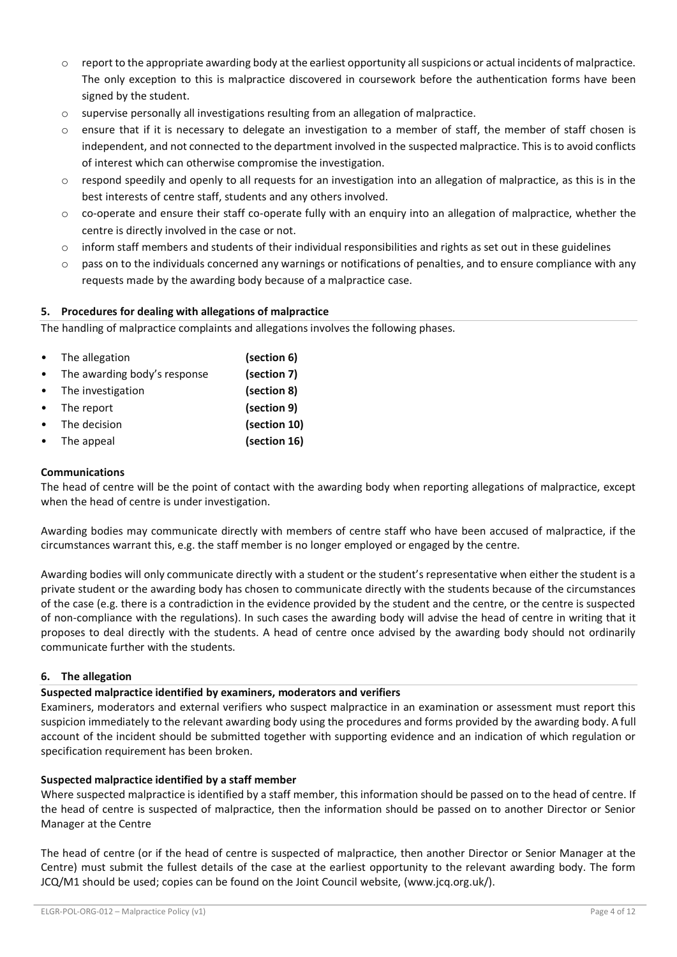- $\circ$  report to the appropriate awarding body at the earliest opportunity all suspicions or actual incidents of malpractice. The only exception to this is malpractice discovered in coursework before the authentication forms have been signed by the student.
- o supervise personally all investigations resulting from an allegation of malpractice.
- ensure that if it is necessary to delegate an investigation to a member of staff, the member of staff chosen is independent, and not connected to the department involved in the suspected malpractice. This is to avoid conflicts of interest which can otherwise compromise the investigation.
- o respond speedily and openly to all requests for an investigation into an allegation of malpractice, as this is in the best interests of centre staff, students and any others involved.
- o co-operate and ensure their staff co-operate fully with an enquiry into an allegation of malpractice, whether the centre is directly involved in the case or not.
- $\circ$  inform staff members and students of their individual responsibilities and rights as set out in these guidelines
- $\circ$  pass on to the individuals concerned any warnings or notifications of penalties, and to ensure compliance with any requests made by the awarding body because of a malpractice case.

# **5. Procedures for dealing with allegations of malpractice**

The handling of malpractice complaints and allegations involves the following phases.

| The allegation               | (section 6)  |
|------------------------------|--------------|
| The awarding body's response | (section 7)  |
| The investigation            | (section 8)  |
| The report                   | (section 9)  |
| The decision                 | (section 10) |
| The appeal                   | (section 16) |

#### **Communications**

The head of centre will be the point of contact with the awarding body when reporting allegations of malpractice, except when the head of centre is under investigation.

Awarding bodies may communicate directly with members of centre staff who have been accused of malpractice, if the circumstances warrant this, e.g. the staff member is no longer employed or engaged by the centre.

Awarding bodies will only communicate directly with a student or the student's representative when either the student is a private student or the awarding body has chosen to communicate directly with the students because of the circumstances of the case (e.g. there is a contradiction in the evidence provided by the student and the centre, or the centre is suspected of non-compliance with the regulations). In such cases the awarding body will advise the head of centre in writing that it proposes to deal directly with the students. A head of centre once advised by the awarding body should not ordinarily communicate further with the students.

## **6. The allegation**

## **Suspected malpractice identified by examiners, moderators and verifiers**

Examiners, moderators and external verifiers who suspect malpractice in an examination or assessment must report this suspicion immediately to the relevant awarding body using the procedures and forms provided by the awarding body. A full account of the incident should be submitted together with supporting evidence and an indication of which regulation or specification requirement has been broken.

## **Suspected malpractice identified by a staff member**

Where suspected malpractice is identified by a staff member, this information should be passed on to the head of centre. If the head of centre is suspected of malpractice, then the information should be passed on to another Director or Senior Manager at the Centre

The head of centre (or if the head of centre is suspected of malpractice, then another Director or Senior Manager at the Centre) must submit the fullest details of the case at the earliest opportunity to the relevant awarding body. The form JCQ/M1 should be used; copies can be found on the Joint Council website, (www.jcq.org.uk/).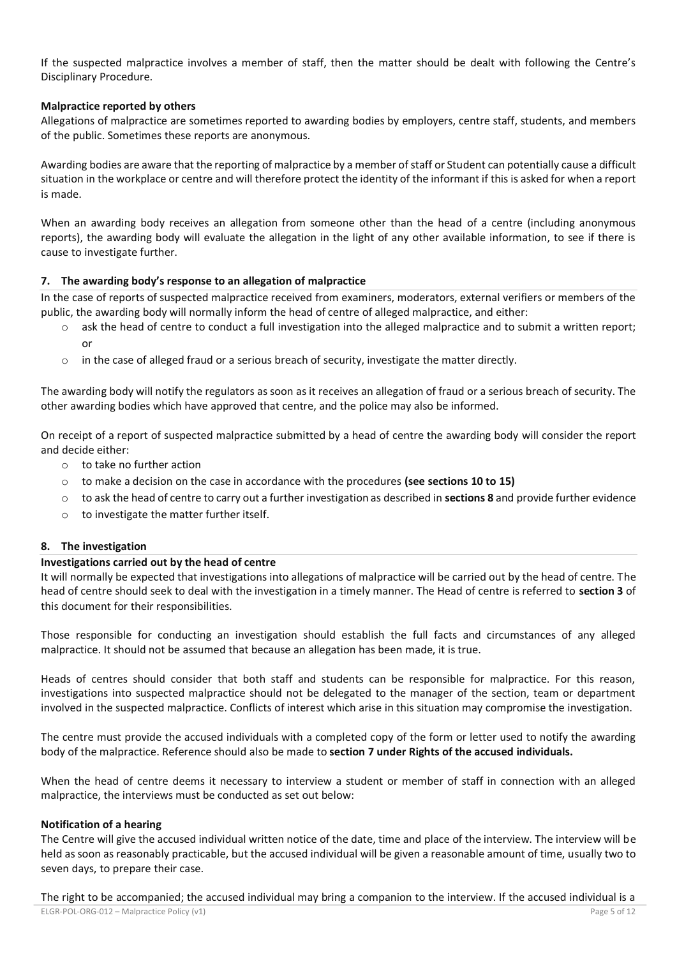If the suspected malpractice involves a member of staff, then the matter should be dealt with following the Centre's Disciplinary Procedure.

#### **Malpractice reported by others**

Allegations of malpractice are sometimes reported to awarding bodies by employers, centre staff, students, and members of the public. Sometimes these reports are anonymous.

Awarding bodies are aware that the reporting of malpractice by a member of staff or Student can potentially cause a difficult situation in the workplace or centre and will therefore protect the identity of the informant if this is asked for when a report is made.

When an awarding body receives an allegation from someone other than the head of a centre (including anonymous reports), the awarding body will evaluate the allegation in the light of any other available information, to see if there is cause to investigate further.

#### **7. The awarding body's response to an allegation of malpractice**

In the case of reports of suspected malpractice received from examiners, moderators, external verifiers or members of the public, the awarding body will normally inform the head of centre of alleged malpractice, and either:

- o ask the head of centre to conduct a full investigation into the alleged malpractice and to submit a written report; or
- $\circ$  in the case of alleged fraud or a serious breach of security, investigate the matter directly.

The awarding body will notify the regulators as soon as it receives an allegation of fraud or a serious breach of security. The other awarding bodies which have approved that centre, and the police may also be informed.

On receipt of a report of suspected malpractice submitted by a head of centre the awarding body will consider the report and decide either:

- o to take no further action
- o to make a decision on the case in accordance with the procedures **(see sections 10 to 15)**
- o to ask the head of centre to carry out a further investigation as described in **sections 8** and provide further evidence
- o to investigate the matter further itself.

#### **8. The investigation**

#### **Investigations carried out by the head of centre**

It will normally be expected that investigations into allegations of malpractice will be carried out by the head of centre. The head of centre should seek to deal with the investigation in a timely manner. The Head of centre is referred to **section 3** of this document for their responsibilities.

Those responsible for conducting an investigation should establish the full facts and circumstances of any alleged malpractice. It should not be assumed that because an allegation has been made, it is true.

Heads of centres should consider that both staff and students can be responsible for malpractice. For this reason, investigations into suspected malpractice should not be delegated to the manager of the section, team or department involved in the suspected malpractice. Conflicts of interest which arise in this situation may compromise the investigation.

The centre must provide the accused individuals with a completed copy of the form or letter used to notify the awarding body of the malpractice. Reference should also be made to **section 7 under Rights of the accused individuals.** 

When the head of centre deems it necessary to interview a student or member of staff in connection with an alleged malpractice, the interviews must be conducted as set out below:

#### **Notification of a hearing**

The Centre will give the accused individual written notice of the date, time and place of the interview. The interview will be held as soon as reasonably practicable, but the accused individual will be given a reasonable amount of time, usually two to seven days, to prepare their case.

The right to be accompanied; the accused individual may bring a companion to the interview. If the accused individual is a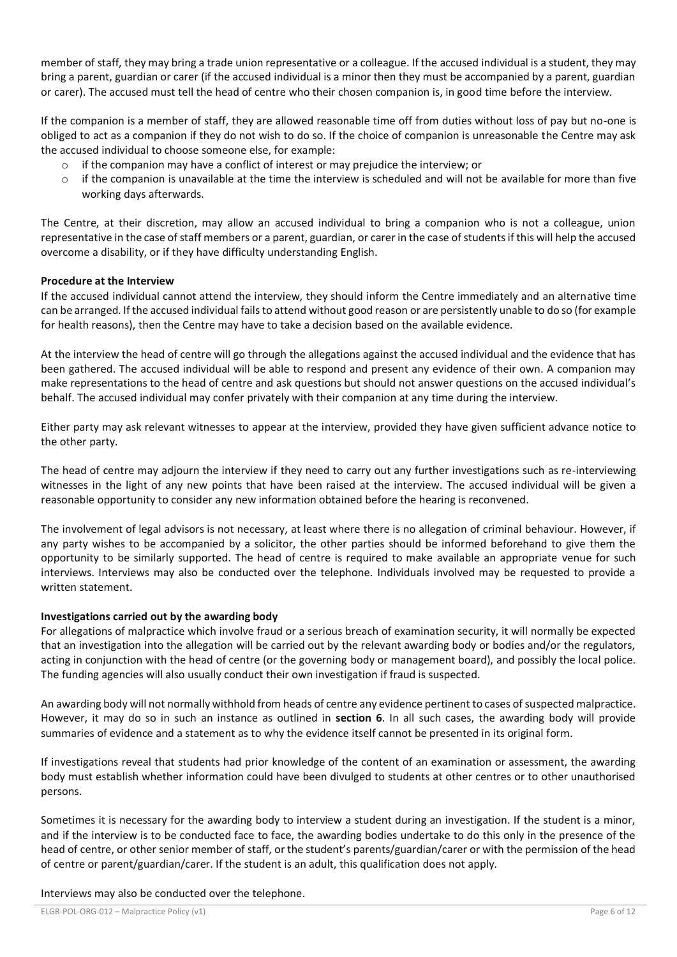member of staff, they may bring a trade union representative or a colleague. If the accused individual is a student, they may bring a parent, guardian or carer (if the accused individual is a minor then they must be accompanied by a parent, guardian or carer). The accused must tell the head of centre who their chosen companion is, in good time before the interview.

If the companion is a member of staff, they are allowed reasonable time off from duties without loss of pay but no-one is obliged to act as a companion if they do not wish to do so. If the choice of companion is unreasonable the Centre may ask the accused individual to choose someone else, for example:

- if the companion may have a conflict of interest or may prejudice the interview; or
- $\circ$  if the companion is unavailable at the time the interview is scheduled and will not be available for more than five working days afterwards.

The Centre, at their discretion, may allow an accused individual to bring a companion who is not a colleague, union representative in the case of staff members or a parent, guardian, or carer in the case of students if this will help the accused overcome a disability, or if they have difficulty understanding English.

## **Procedure at the Interview**

If the accused individual cannot attend the interview, they should inform the Centre immediately and an alternative time can be arranged. If the accused individual fails to attend without good reason or are persistently unable to do so (for example for health reasons), then the Centre may have to take a decision based on the available evidence.

At the interview the head of centre will go through the allegations against the accused individual and the evidence that has been gathered. The accused individual will be able to respond and present any evidence of their own. A companion may make representations to the head of centre and ask questions but should not answer questions on the accused individual's behalf. The accused individual may confer privately with their companion at any time during the interview.

Either party may ask relevant witnesses to appear at the interview, provided they have given sufficient advance notice to the other party.

The head of centre may adjourn the interview if they need to carry out any further investigations such as re-interviewing witnesses in the light of any new points that have been raised at the interview. The accused individual will be given a reasonable opportunity to consider any new information obtained before the hearing is reconvened.

The involvement of legal advisors is not necessary, at least where there is no allegation of criminal behaviour. However, if any party wishes to be accompanied by a solicitor, the other parties should be informed beforehand to give them the opportunity to be similarly supported. The head of centre is required to make available an appropriate venue for such interviews. Interviews may also be conducted over the telephone. Individuals involved may be requested to provide a written statement.

## **Investigations carried out by the awarding body**

For allegations of malpractice which involve fraud or a serious breach of examination security, it will normally be expected that an investigation into the allegation will be carried out by the relevant awarding body or bodies and/or the regulators, acting in conjunction with the head of centre (or the governing body or management board), and possibly the local police. The funding agencies will also usually conduct their own investigation if fraud is suspected.

An awarding body will not normally withhold from heads of centre any evidence pertinent to cases of suspected malpractice. However, it may do so in such an instance as outlined in **section 6**. In all such cases, the awarding body will provide summaries of evidence and a statement as to why the evidence itself cannot be presented in its original form.

If investigations reveal that students had prior knowledge of the content of an examination or assessment, the awarding body must establish whether information could have been divulged to students at other centres or to other unauthorised persons.

Sometimes it is necessary for the awarding body to interview a student during an investigation. If the student is a minor, and if the interview is to be conducted face to face, the awarding bodies undertake to do this only in the presence of the head of centre, or other senior member of staff, or the student's parents/guardian/carer or with the permission of the head of centre or parent/guardian/carer. If the student is an adult, this qualification does not apply.

Interviews may also be conducted over the telephone.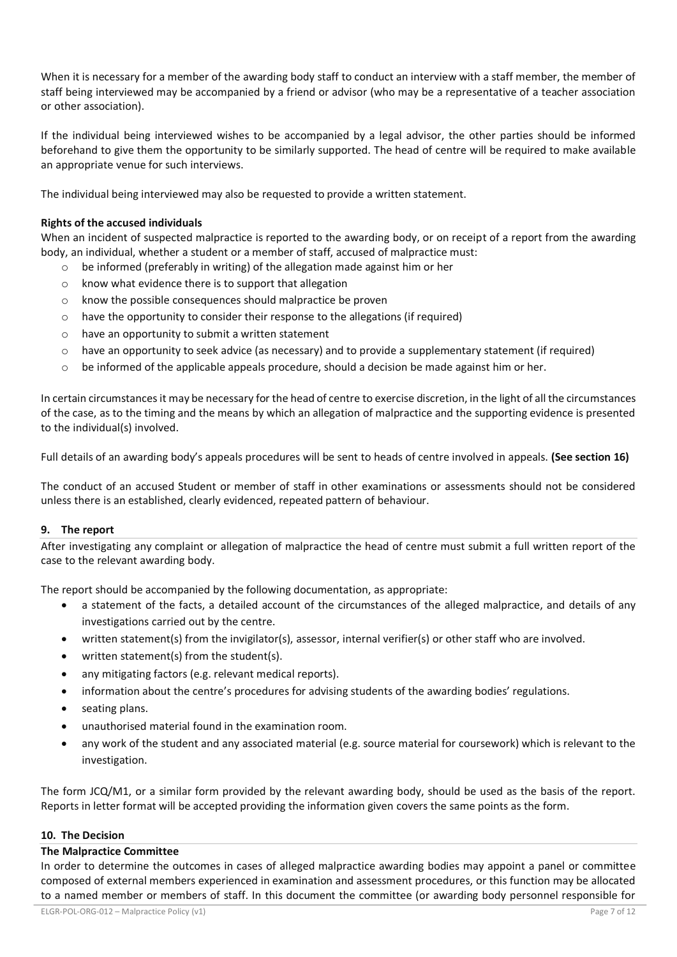When it is necessary for a member of the awarding body staff to conduct an interview with a staff member, the member of staff being interviewed may be accompanied by a friend or advisor (who may be a representative of a teacher association or other association).

If the individual being interviewed wishes to be accompanied by a legal advisor, the other parties should be informed beforehand to give them the opportunity to be similarly supported. The head of centre will be required to make available an appropriate venue for such interviews.

The individual being interviewed may also be requested to provide a written statement.

# **Rights of the accused individuals**

When an incident of suspected malpractice is reported to the awarding body, or on receipt of a report from the awarding body, an individual, whether a student or a member of staff, accused of malpractice must:

- o be informed (preferably in writing) of the allegation made against him or her
- o know what evidence there is to support that allegation
- o know the possible consequences should malpractice be proven
- o have the opportunity to consider their response to the allegations (if required)
- o have an opportunity to submit a written statement
- $\circ$  have an opportunity to seek advice (as necessary) and to provide a supplementary statement (if required)
- $\circ$  be informed of the applicable appeals procedure, should a decision be made against him or her.

In certain circumstances it may be necessary for the head of centre to exercise discretion, in the light of all the circumstances of the case, as to the timing and the means by which an allegation of malpractice and the supporting evidence is presented to the individual(s) involved.

Full details of an awarding body's appeals procedures will be sent to heads of centre involved in appeals. **(See section 16)**

The conduct of an accused Student or member of staff in other examinations or assessments should not be considered unless there is an established, clearly evidenced, repeated pattern of behaviour.

#### **9. The report**

After investigating any complaint or allegation of malpractice the head of centre must submit a full written report of the case to the relevant awarding body.

The report should be accompanied by the following documentation, as appropriate:

- a statement of the facts, a detailed account of the circumstances of the alleged malpractice, and details of any investigations carried out by the centre.
- written statement(s) from the invigilator(s), assessor, internal verifier(s) or other staff who are involved.
- written statement(s) from the student(s).
- any mitigating factors (e.g. relevant medical reports).
- information about the centre's procedures for advising students of the awarding bodies' regulations.
- seating plans.
- unauthorised material found in the examination room.
- any work of the student and any associated material (e.g. source material for coursework) which is relevant to the investigation.

The form JCQ/M1, or a similar form provided by the relevant awarding body, should be used as the basis of the report. Reports in letter format will be accepted providing the information given covers the same points as the form.

## **10. The Decision**

#### **The Malpractice Committee**

In order to determine the outcomes in cases of alleged malpractice awarding bodies may appoint a panel or committee composed of external members experienced in examination and assessment procedures, or this function may be allocated to a named member or members of staff. In this document the committee (or awarding body personnel responsible for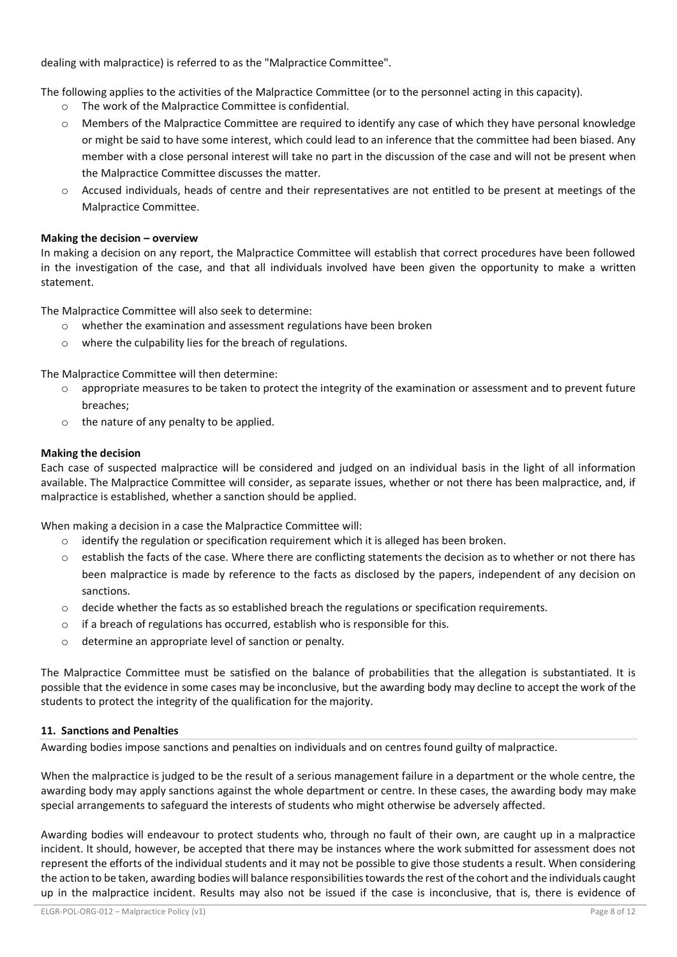dealing with malpractice) is referred to as the "Malpractice Committee".

The following applies to the activities of the Malpractice Committee (or to the personnel acting in this capacity).

- o The work of the Malpractice Committee is confidential.
- o Members of the Malpractice Committee are required to identify any case of which they have personal knowledge or might be said to have some interest, which could lead to an inference that the committee had been biased. Any member with a close personal interest will take no part in the discussion of the case and will not be present when the Malpractice Committee discusses the matter.
- $\circ$  Accused individuals, heads of centre and their representatives are not entitled to be present at meetings of the Malpractice Committee.

## **Making the decision – overview**

In making a decision on any report, the Malpractice Committee will establish that correct procedures have been followed in the investigation of the case, and that all individuals involved have been given the opportunity to make a written statement.

The Malpractice Committee will also seek to determine:

- o whether the examination and assessment regulations have been broken
- o where the culpability lies for the breach of regulations.

The Malpractice Committee will then determine:

- $\circ$  appropriate measures to be taken to protect the integrity of the examination or assessment and to prevent future breaches;
- o the nature of any penalty to be applied.

## **Making the decision**

Each case of suspected malpractice will be considered and judged on an individual basis in the light of all information available. The Malpractice Committee will consider, as separate issues, whether or not there has been malpractice, and, if malpractice is established, whether a sanction should be applied.

When making a decision in a case the Malpractice Committee will:

- o identify the regulation or specification requirement which it is alleged has been broken.
- o establish the facts of the case. Where there are conflicting statements the decision as to whether or not there has been malpractice is made by reference to the facts as disclosed by the papers, independent of any decision on sanctions.
- $\circ$  decide whether the facts as so established breach the regulations or specification requirements.
- $\circ$  if a breach of regulations has occurred, establish who is responsible for this.
- o determine an appropriate level of sanction or penalty.

The Malpractice Committee must be satisfied on the balance of probabilities that the allegation is substantiated. It is possible that the evidence in some cases may be inconclusive, but the awarding body may decline to accept the work of the students to protect the integrity of the qualification for the majority.

## **11. Sanctions and Penalties**

Awarding bodies impose sanctions and penalties on individuals and on centres found guilty of malpractice.

When the malpractice is judged to be the result of a serious management failure in a department or the whole centre, the awarding body may apply sanctions against the whole department or centre. In these cases, the awarding body may make special arrangements to safeguard the interests of students who might otherwise be adversely affected.

Awarding bodies will endeavour to protect students who, through no fault of their own, are caught up in a malpractice incident. It should, however, be accepted that there may be instances where the work submitted for assessment does not represent the efforts of the individual students and it may not be possible to give those students a result. When considering the action to be taken, awarding bodies will balance responsibilities towards the rest of the cohort and the individuals caught up in the malpractice incident. Results may also not be issued if the case is inconclusive, that is, there is evidence of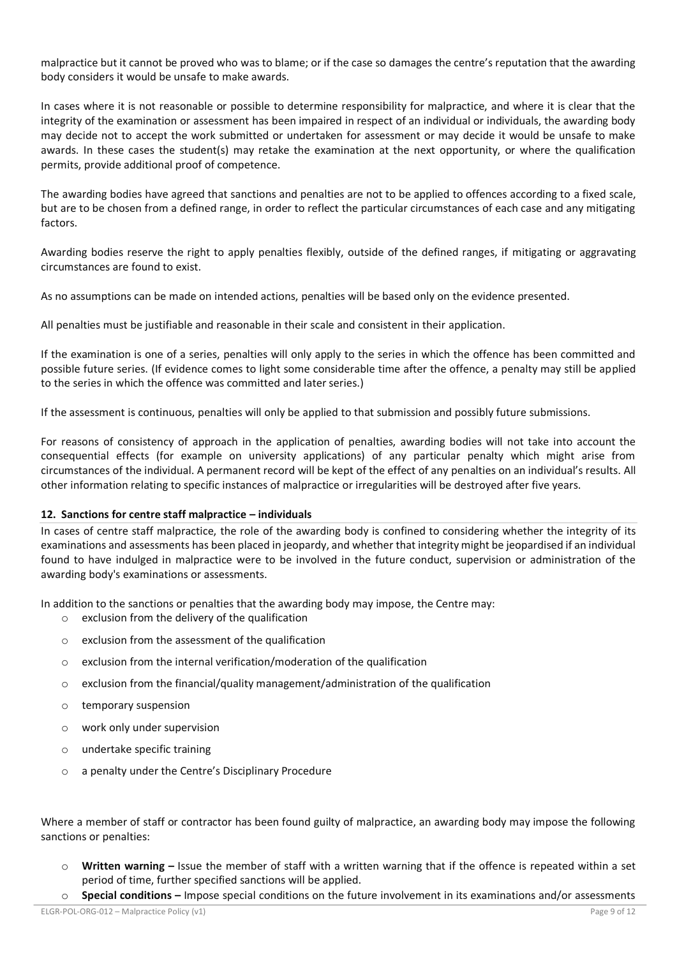malpractice but it cannot be proved who was to blame; or if the case so damages the centre's reputation that the awarding body considers it would be unsafe to make awards.

In cases where it is not reasonable or possible to determine responsibility for malpractice, and where it is clear that the integrity of the examination or assessment has been impaired in respect of an individual or individuals, the awarding body may decide not to accept the work submitted or undertaken for assessment or may decide it would be unsafe to make awards. In these cases the student(s) may retake the examination at the next opportunity, or where the qualification permits, provide additional proof of competence.

The awarding bodies have agreed that sanctions and penalties are not to be applied to offences according to a fixed scale, but are to be chosen from a defined range, in order to reflect the particular circumstances of each case and any mitigating factors.

Awarding bodies reserve the right to apply penalties flexibly, outside of the defined ranges, if mitigating or aggravating circumstances are found to exist.

As no assumptions can be made on intended actions, penalties will be based only on the evidence presented.

All penalties must be justifiable and reasonable in their scale and consistent in their application.

If the examination is one of a series, penalties will only apply to the series in which the offence has been committed and possible future series. (If evidence comes to light some considerable time after the offence, a penalty may still be applied to the series in which the offence was committed and later series.)

If the assessment is continuous, penalties will only be applied to that submission and possibly future submissions.

For reasons of consistency of approach in the application of penalties, awarding bodies will not take into account the consequential effects (for example on university applications) of any particular penalty which might arise from circumstances of the individual. A permanent record will be kept of the effect of any penalties on an individual's results. All other information relating to specific instances of malpractice or irregularities will be destroyed after five years.

#### **12. Sanctions for centre staff malpractice – individuals**

In cases of centre staff malpractice, the role of the awarding body is confined to considering whether the integrity of its examinations and assessments has been placed in jeopardy, and whether that integrity might be jeopardised if an individual found to have indulged in malpractice were to be involved in the future conduct, supervision or administration of the awarding body's examinations or assessments.

In addition to the sanctions or penalties that the awarding body may impose, the Centre may:

- o exclusion from the delivery of the qualification
- o exclusion from the assessment of the qualification
- o exclusion from the internal verification/moderation of the qualification
- $\circ$  exclusion from the financial/quality management/administration of the qualification
- o temporary suspension
- o work only under supervision
- o undertake specific training
- o a penalty under the Centre's Disciplinary Procedure

Where a member of staff or contractor has been found guilty of malpractice, an awarding body may impose the following sanctions or penalties:

- o **Written warning –** Issue the member of staff with a written warning that if the offence is repeated within a set period of time, further specified sanctions will be applied.
- **Special conditions –** Impose special conditions on the future involvement in its examinations and/or assessments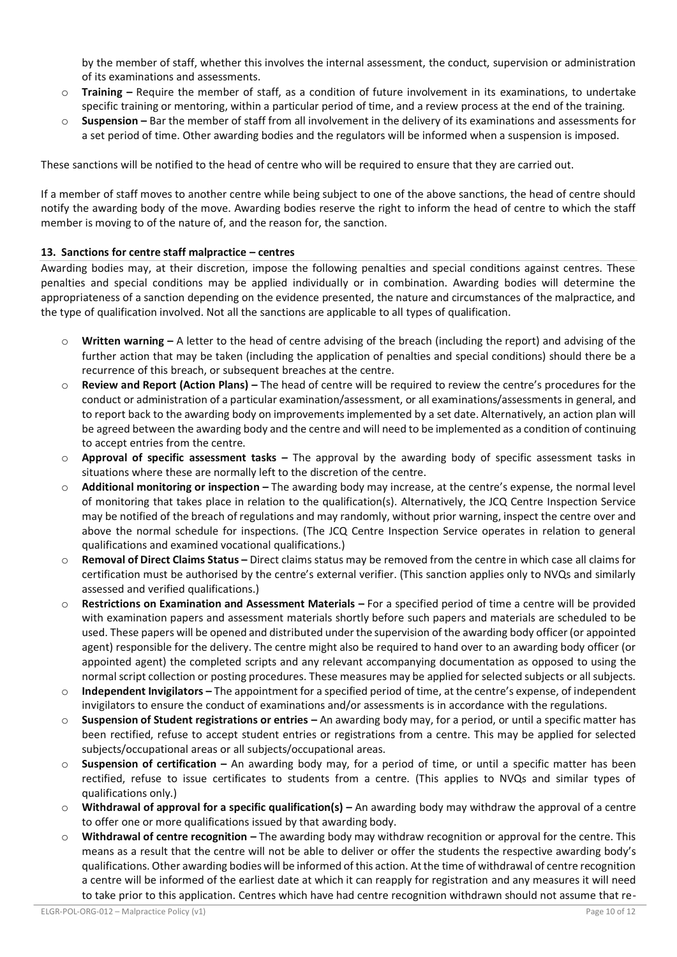by the member of staff, whether this involves the internal assessment, the conduct, supervision or administration of its examinations and assessments.

- **Training** Require the member of staff, as a condition of future involvement in its examinations, to undertake specific training or mentoring, within a particular period of time, and a review process at the end of the training.
- o **Suspension –** Bar the member of staff from all involvement in the delivery of its examinations and assessments for a set period of time. Other awarding bodies and the regulators will be informed when a suspension is imposed.

These sanctions will be notified to the head of centre who will be required to ensure that they are carried out.

If a member of staff moves to another centre while being subject to one of the above sanctions, the head of centre should notify the awarding body of the move. Awarding bodies reserve the right to inform the head of centre to which the staff member is moving to of the nature of, and the reason for, the sanction.

# **13. Sanctions for centre staff malpractice – centres**

Awarding bodies may, at their discretion, impose the following penalties and special conditions against centres. These penalties and special conditions may be applied individually or in combination. Awarding bodies will determine the appropriateness of a sanction depending on the evidence presented, the nature and circumstances of the malpractice, and the type of qualification involved. Not all the sanctions are applicable to all types of qualification.

- o **Written warning –** A letter to the head of centre advising of the breach (including the report) and advising of the further action that may be taken (including the application of penalties and special conditions) should there be a recurrence of this breach, or subsequent breaches at the centre.
- o **Review and Report (Action Plans) –** The head of centre will be required to review the centre's procedures for the conduct or administration of a particular examination/assessment, or all examinations/assessments in general, and to report back to the awarding body on improvements implemented by a set date. Alternatively, an action plan will be agreed between the awarding body and the centre and will need to be implemented as a condition of continuing to accept entries from the centre.
- o **Approval of specific assessment tasks –** The approval by the awarding body of specific assessment tasks in situations where these are normally left to the discretion of the centre.
- o **Additional monitoring or inspection –** The awarding body may increase, at the centre's expense, the normal level of monitoring that takes place in relation to the qualification(s). Alternatively, the JCQ Centre Inspection Service may be notified of the breach of regulations and may randomly, without prior warning, inspect the centre over and above the normal schedule for inspections. (The JCQ Centre Inspection Service operates in relation to general qualifications and examined vocational qualifications.)
- o **Removal of Direct Claims Status –** Direct claims status may be removed from the centre in which case all claims for certification must be authorised by the centre's external verifier. (This sanction applies only to NVQs and similarly assessed and verified qualifications.)
- o **Restrictions on Examination and Assessment Materials –** For a specified period of time a centre will be provided with examination papers and assessment materials shortly before such papers and materials are scheduled to be used. These papers will be opened and distributed under the supervision of the awarding body officer (or appointed agent) responsible for the delivery. The centre might also be required to hand over to an awarding body officer (or appointed agent) the completed scripts and any relevant accompanying documentation as opposed to using the normal script collection or posting procedures. These measures may be applied for selected subjects or all subjects.
- o **Independent Invigilators –** The appointment for a specified period of time, at the centre's expense, of independent invigilators to ensure the conduct of examinations and/or assessments is in accordance with the regulations.
- **Suspension of Student registrations or entries** An awarding body may, for a period, or until a specific matter has been rectified, refuse to accept student entries or registrations from a centre. This may be applied for selected subjects/occupational areas or all subjects/occupational areas.
- o **Suspension of certification –** An awarding body may, for a period of time, or until a specific matter has been rectified, refuse to issue certificates to students from a centre. (This applies to NVQs and similar types of qualifications only.)
- o **Withdrawal of approval for a specific qualification(s) –** An awarding body may withdraw the approval of a centre to offer one or more qualifications issued by that awarding body.
- o **Withdrawal of centre recognition –** The awarding body may withdraw recognition or approval for the centre. This means as a result that the centre will not be able to deliver or offer the students the respective awarding body's qualifications. Other awarding bodies will be informed of this action. At the time of withdrawal of centre recognition a centre will be informed of the earliest date at which it can reapply for registration and any measures it will need to take prior to this application. Centres which have had centre recognition withdrawn should not assume that re-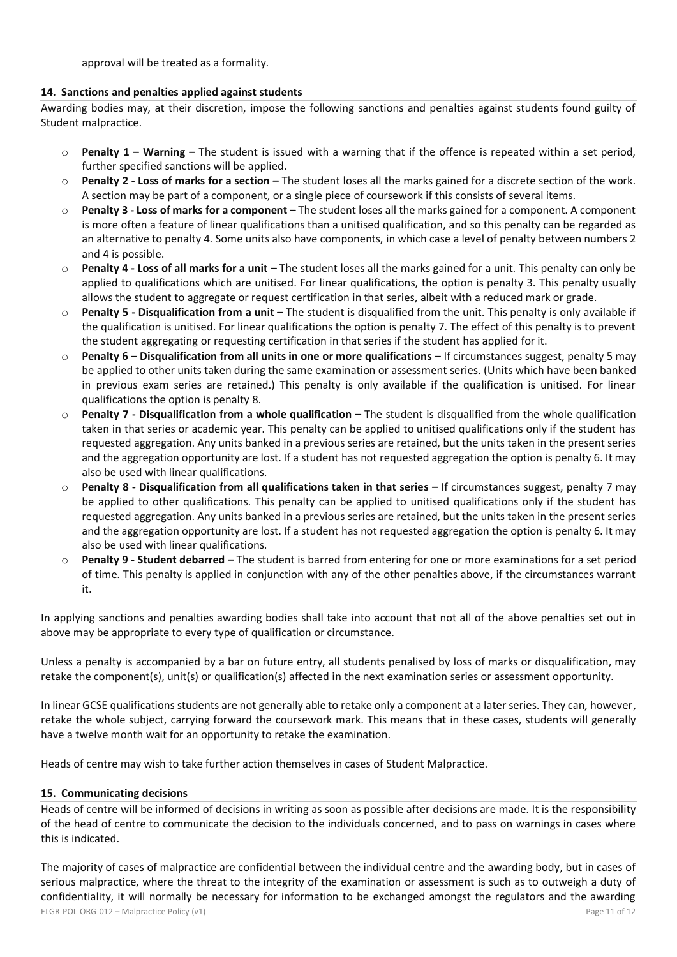approval will be treated as a formality.

# **14. Sanctions and penalties applied against students**

Awarding bodies may, at their discretion, impose the following sanctions and penalties against students found guilty of Student malpractice.

- o **Penalty 1 – Warning –** The student is issued with a warning that if the offence is repeated within a set period, further specified sanctions will be applied.
- o **Penalty 2 - Loss of marks for a section –** The student loses all the marks gained for a discrete section of the work. A section may be part of a component, or a single piece of coursework if this consists of several items.
- o **Penalty 3 - Loss of marks for a component –** The student loses all the marks gained for a component. A component is more often a feature of linear qualifications than a unitised qualification, and so this penalty can be regarded as an alternative to penalty 4. Some units also have components, in which case a level of penalty between numbers 2 and 4 is possible.
- o **Penalty 4 - Loss of all marks for a unit –** The student loses all the marks gained for a unit. This penalty can only be applied to qualifications which are unitised. For linear qualifications, the option is penalty 3. This penalty usually allows the student to aggregate or request certification in that series, albeit with a reduced mark or grade.
- o **Penalty 5 - Disqualification from a unit –** The student is disqualified from the unit. This penalty is only available if the qualification is unitised. For linear qualifications the option is penalty 7. The effect of this penalty is to prevent the student aggregating or requesting certification in that series if the student has applied for it.
- o **Penalty 6 – Disqualification from all units in one or more qualifications –** If circumstances suggest, penalty 5 may be applied to other units taken during the same examination or assessment series. (Units which have been banked in previous exam series are retained.) This penalty is only available if the qualification is unitised. For linear qualifications the option is penalty 8.
- o **Penalty 7 - Disqualification from a whole qualification –** The student is disqualified from the whole qualification taken in that series or academic year. This penalty can be applied to unitised qualifications only if the student has requested aggregation. Any units banked in a previous series are retained, but the units taken in the present series and the aggregation opportunity are lost. If a student has not requested aggregation the option is penalty 6. It may also be used with linear qualifications.
- o **Penalty 8 - Disqualification from all qualifications taken in that series –** If circumstances suggest, penalty 7 may be applied to other qualifications. This penalty can be applied to unitised qualifications only if the student has requested aggregation. Any units banked in a previous series are retained, but the units taken in the present series and the aggregation opportunity are lost. If a student has not requested aggregation the option is penalty 6. It may also be used with linear qualifications.
- o **Penalty 9 - Student debarred –** The student is barred from entering for one or more examinations for a set period of time. This penalty is applied in conjunction with any of the other penalties above, if the circumstances warrant it.

In applying sanctions and penalties awarding bodies shall take into account that not all of the above penalties set out in above may be appropriate to every type of qualification or circumstance.

Unless a penalty is accompanied by a bar on future entry, all students penalised by loss of marks or disqualification, may retake the component(s), unit(s) or qualification(s) affected in the next examination series or assessment opportunity.

In linear GCSE qualifications students are not generally able to retake only a component at a later series. They can, however, retake the whole subject, carrying forward the coursework mark. This means that in these cases, students will generally have a twelve month wait for an opportunity to retake the examination.

Heads of centre may wish to take further action themselves in cases of Student Malpractice.

## **15. Communicating decisions**

Heads of centre will be informed of decisions in writing as soon as possible after decisions are made. It is the responsibility of the head of centre to communicate the decision to the individuals concerned, and to pass on warnings in cases where this is indicated.

The majority of cases of malpractice are confidential between the individual centre and the awarding body, but in cases of serious malpractice, where the threat to the integrity of the examination or assessment is such as to outweigh a duty of confidentiality, it will normally be necessary for information to be exchanged amongst the regulators and the awarding